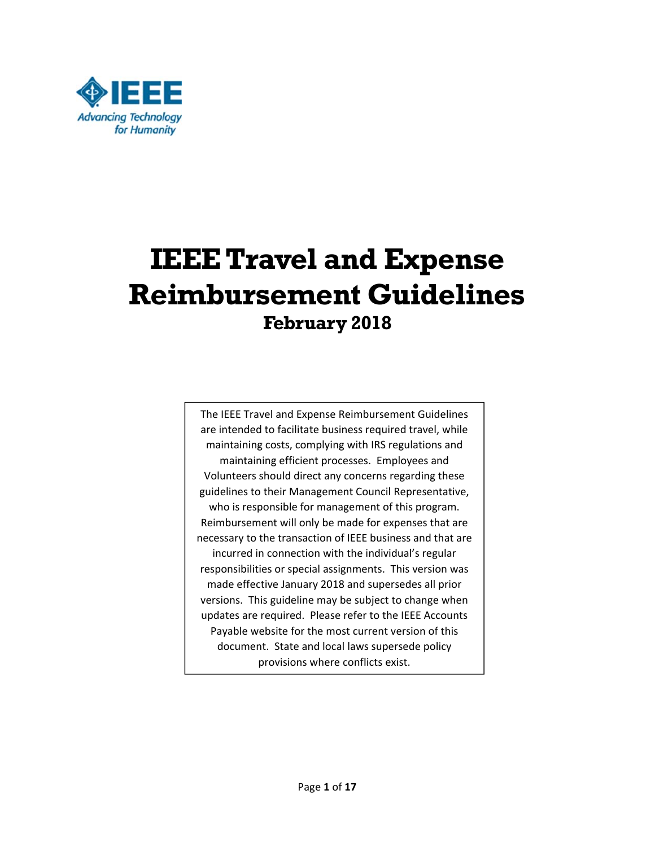

# **IEEE Travel and Expense Reimbursement Guidelines February 2018**

The IEEE Travel and Expense Reimbursement Guidelines are intended to facilitate business required travel, while maintaining costs, complying with IRS regulations and maintaining efficient processes. Employees and Volunteers should direct any concerns regarding these guidelines to their Management Council Representative, who is responsible for management of this program. Reimbursement will only be made for expenses that are necessary to the transaction of IEEE business and that are incurred in connection with the individual's regular responsibilities or special assignments. This version was made effective January 2018 and supersedes all prior versions. This guideline may be subject to change when updates are required. Please refer to the IEEE Accounts Payable website for the most current version of this document. State and local laws supersede policy provisions where conflicts exist.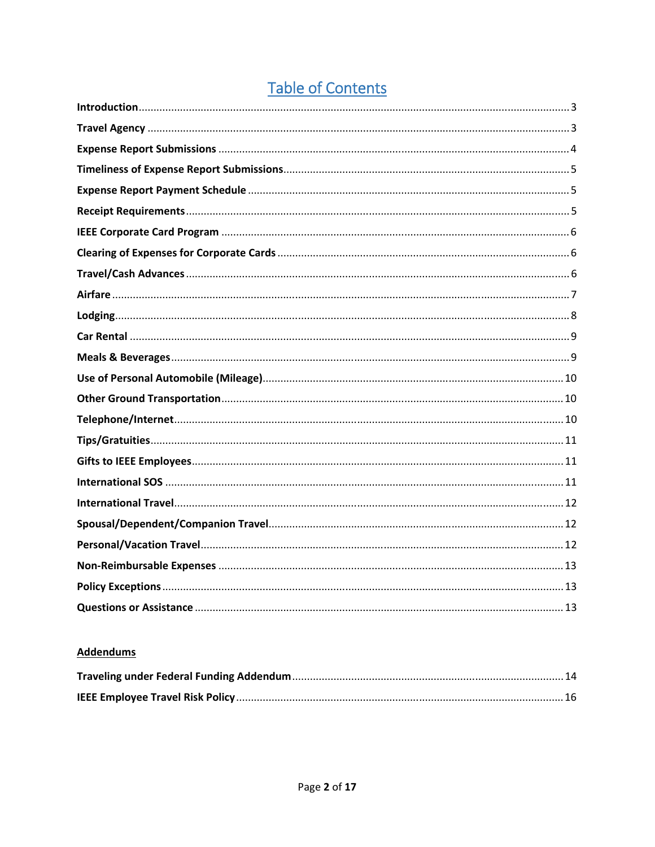# **Table of Contents**

#### **Addendums**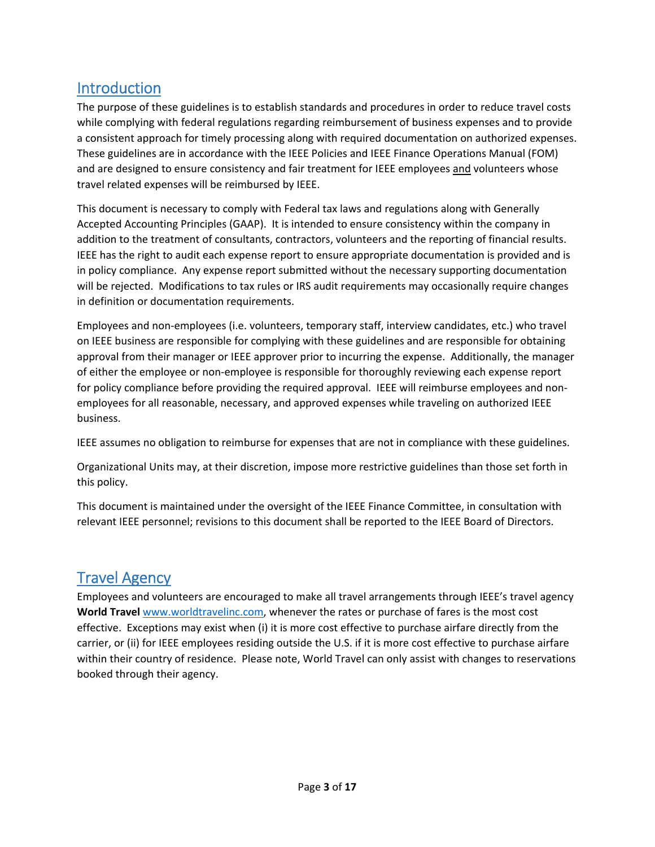### Introduction

The purpose of these guidelines is to establish standards and procedures in order to reduce travel costs while complying with federal regulations regarding reimbursement of business expenses and to provide a consistent approach for timely processing along with required documentation on authorized expenses. These guidelines are in accordance with the IEEE Policies and IEEE Finance Operations Manual (FOM) and are designed to ensure consistency and fair treatment for IEEE employees and volunteers whose travel related expenses will be reimbursed by IEEE.

This document is necessary to comply with Federal tax laws and regulations along with Generally Accepted Accounting Principles (GAAP). It is intended to ensure consistency within the company in addition to the treatment of consultants, contractors, volunteers and the reporting of financial results. IEEE has the right to audit each expense report to ensure appropriate documentation is provided and is in policy compliance. Any expense report submitted without the necessary supporting documentation will be rejected. Modifications to tax rules or IRS audit requirements may occasionally require changes in definition or documentation requirements.

Employees and non‐employees (i.e. volunteers, temporary staff, interview candidates, etc.) who travel on IEEE business are responsible for complying with these guidelines and are responsible for obtaining approval from their manager or IEEE approver prior to incurring the expense. Additionally, the manager of either the employee or non‐employee is responsible for thoroughly reviewing each expense report for policy compliance before providing the required approval. IEEE will reimburse employees and nonemployees for all reasonable, necessary, and approved expenses while traveling on authorized IEEE business.

IEEE assumes no obligation to reimburse for expenses that are not in compliance with these guidelines.

Organizational Units may, at their discretion, impose more restrictive guidelines than those set forth in this policy.

This document is maintained under the oversight of the IEEE Finance Committee, in consultation with relevant IEEE personnel; revisions to this document shall be reported to the IEEE Board of Directors.

### Travel Agency

Employees and volunteers are encouraged to make all travel arrangements through IEEE's travel agency **World Travel** www.worldtravelinc.com, whenever the rates or purchase of fares is the most cost effective. Exceptions may exist when (i) it is more cost effective to purchase airfare directly from the carrier, or (ii) for IEEE employees residing outside the U.S. if it is more cost effective to purchase airfare within their country of residence. Please note, World Travel can only assist with changes to reservations booked through their agency.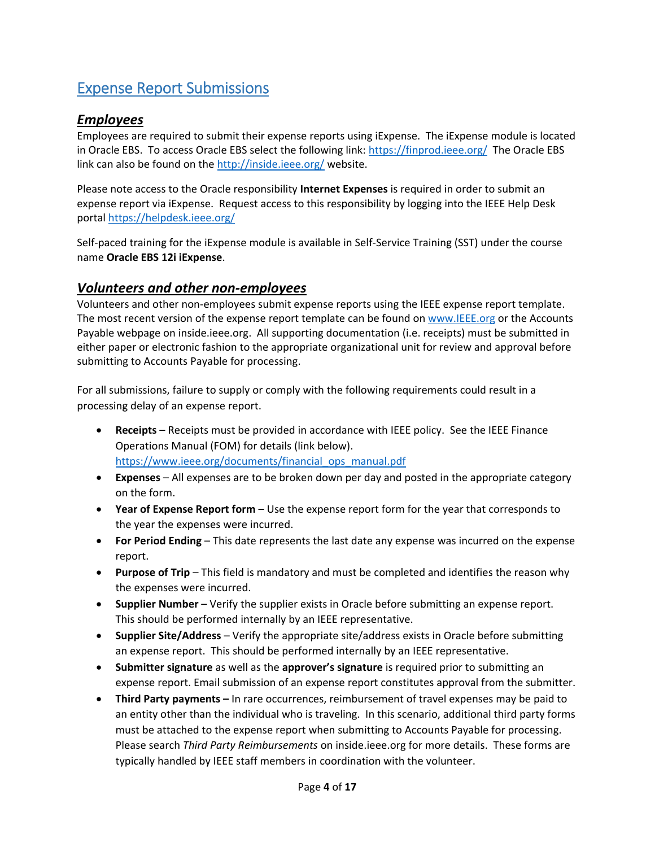# Expense Report Submissions

#### *Employees*

Employees are required to submit their expense reports using iExpense. The iExpense module is located in Oracle EBS. To access Oracle EBS select the following link: https://finprod.ieee.org/ The Oracle EBS link can also be found on the http://inside.ieee.org/ website.

Please note access to the Oracle responsibility **Internet Expenses** is required in order to submit an expense report via iExpense. Request access to this responsibility by logging into the IEEE Help Desk portal https://helpdesk.ieee.org/

Self-paced training for the iExpense module is available in Self-Service Training (SST) under the course name **Oracle EBS 12i iExpense**.

#### *Volunteers and other non‐employees*

Volunteers and other non‐employees submit expense reports using the IEEE expense report template. The most recent version of the expense report template can be found on www.IEEE.org or the Accounts Payable webpage on inside.ieee.org. All supporting documentation (i.e. receipts) must be submitted in either paper or electronic fashion to the appropriate organizational unit for review and approval before submitting to Accounts Payable for processing.

For all submissions, failure to supply or comply with the following requirements could result in a processing delay of an expense report.

- **Receipts** Receipts must be provided in accordance with IEEE policy. See the IEEE Finance Operations Manual (FOM) for details (link below). https://www.ieee.org/documents/financial\_ops\_manual.pdf
- **Expenses** All expenses are to be broken down per day and posted in the appropriate category on the form.
- **Year of Expense Report form** Use the expense report form for the year that corresponds to the year the expenses were incurred.
- **For Period Ending** This date represents the last date any expense was incurred on the expense report.
- **Purpose of Trip** This field is mandatory and must be completed and identifies the reason why the expenses were incurred.
- **Supplier Number** Verify the supplier exists in Oracle before submitting an expense report. This should be performed internally by an IEEE representative.
- **Supplier Site/Address** Verify the appropriate site/address exists in Oracle before submitting an expense report. This should be performed internally by an IEEE representative.
- **Submitter signature** as well as the **approver's signature** is required prior to submitting an expense report. Email submission of an expense report constitutes approval from the submitter.
- **Third Party payments** In rare occurrences, reimbursement of travel expenses may be paid to an entity other than the individual who is traveling. In this scenario, additional third party forms must be attached to the expense report when submitting to Accounts Payable for processing. Please search *Third Party Reimbursements* on inside.ieee.org for more details. These forms are typically handled by IEEE staff members in coordination with the volunteer.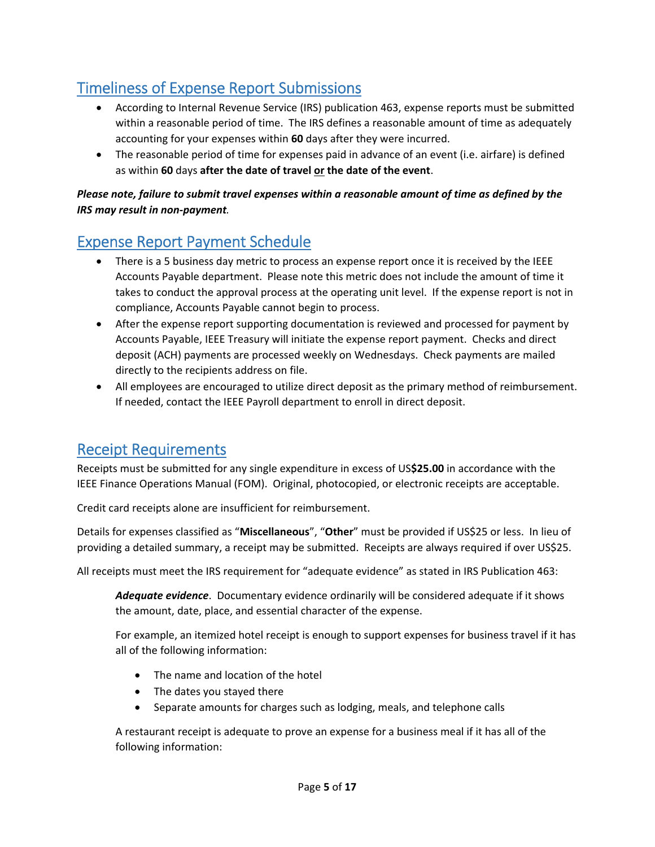# Timeliness of Expense Report Submissions

- According to Internal Revenue Service (IRS) publication 463, expense reports must be submitted within a reasonable period of time. The IRS defines a reasonable amount of time as adequately accounting for your expenses within **60** days after they were incurred.
- The reasonable period of time for expenses paid in advance of an event (i.e. airfare) is defined as within **60** days **after the date of travel or the date of the event**.

#### *Please note, failure to submit travel expenses within a reasonable amount of time as defined by the IRS may result in non‐payment.*

## Expense Report Payment Schedule

- There is a 5 business day metric to process an expense report once it is received by the IEEE Accounts Payable department. Please note this metric does not include the amount of time it takes to conduct the approval process at the operating unit level. If the expense report is not in compliance, Accounts Payable cannot begin to process.
- After the expense report supporting documentation is reviewed and processed for payment by Accounts Payable, IEEE Treasury will initiate the expense report payment. Checks and direct deposit (ACH) payments are processed weekly on Wednesdays. Check payments are mailed directly to the recipients address on file.
- All employees are encouraged to utilize direct deposit as the primary method of reimbursement. If needed, contact the IEEE Payroll department to enroll in direct deposit.

### Receipt Requirements

Receipts must be submitted for any single expenditure in excess of US**\$25.00** in accordance with the IEEE Finance Operations Manual (FOM). Original, photocopied, or electronic receipts are acceptable.

Credit card receipts alone are insufficient for reimbursement.

Details for expenses classified as "**Miscellaneous**", "**Other**" must be provided if US\$25 or less. In lieu of providing a detailed summary, a receipt may be submitted. Receipts are always required if over US\$25.

All receipts must meet the IRS requirement for "adequate evidence" as stated in IRS Publication 463:

*Adequate evidence*. Documentary evidence ordinarily will be considered adequate if it shows the amount, date, place, and essential character of the expense.

For example, an itemized hotel receipt is enough to support expenses for business travel if it has all of the following information:

- The name and location of the hotel
- The dates you stayed there
- Separate amounts for charges such as lodging, meals, and telephone calls

A restaurant receipt is adequate to prove an expense for a business meal if it has all of the following information: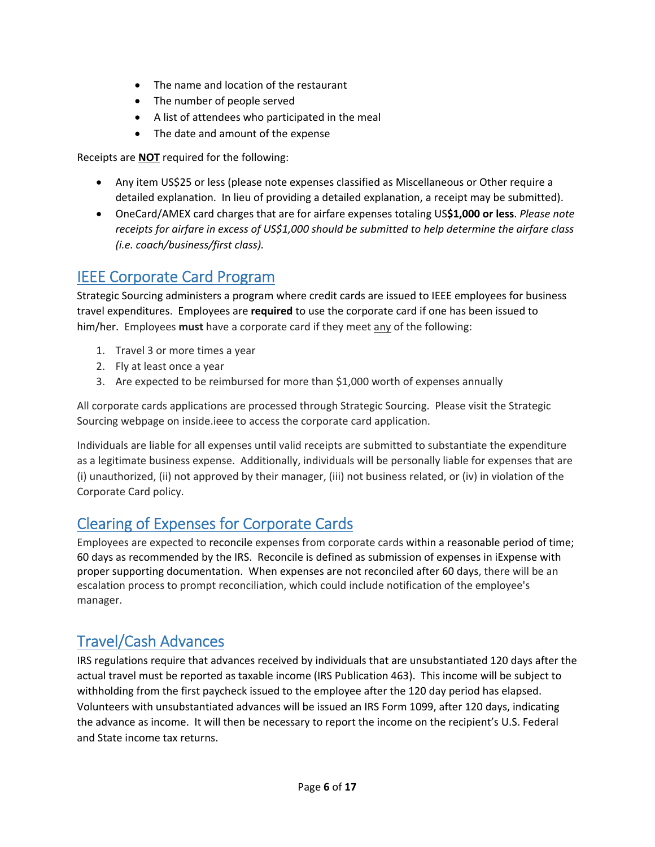- The name and location of the restaurant
- The number of people served
- A list of attendees who participated in the meal
- The date and amount of the expense

Receipts are **NOT** required for the following:

- Any item US\$25 or less (please note expenses classified as Miscellaneous or Other require a detailed explanation. In lieu of providing a detailed explanation, a receipt may be submitted).
- OneCard/AMEX card charges that are for airfare expenses totaling US**\$1,000 or less**. *Please note receipts for airfare in excess of US\$1,000 should be submitted to help determine the airfare class (i.e. coach/business/first class).*

### IEEE Corporate Card Program

Strategic Sourcing administers a program where credit cards are issued to IEEE employees for business travel expenditures. Employees are **required** to use the corporate card if one has been issued to him/her. Employees **must** have a corporate card if they meet any of the following:

- 1. Travel 3 or more times a year
- 2. Fly at least once a year
- 3. Are expected to be reimbursed for more than \$1,000 worth of expenses annually

All corporate cards applications are processed through Strategic Sourcing. Please visit the Strategic Sourcing webpage on inside.ieee to access the corporate card application.

Individuals are liable for all expenses until valid receipts are submitted to substantiate the expenditure as a legitimate business expense. Additionally, individuals will be personally liable for expenses that are (i) unauthorized, (ii) not approved by their manager, (iii) not business related, or (iv) in violation of the Corporate Card policy.

# Clearing of Expenses for Corporate Cards

Employees are expected to reconcile expenses from corporate cards within a reasonable period of time; 60 days as recommended by the IRS. Reconcile is defined as submission of expenses in iExpense with proper supporting documentation. When expenses are not reconciled after 60 days, there will be an escalation process to prompt reconciliation, which could include notification of the employee's manager.

# Travel/Cash Advances

IRS regulations require that advances received by individuals that are unsubstantiated 120 days after the actual travel must be reported as taxable income (IRS Publication 463). This income will be subject to withholding from the first paycheck issued to the employee after the 120 day period has elapsed. Volunteers with unsubstantiated advances will be issued an IRS Form 1099, after 120 days, indicating the advance as income. It will then be necessary to report the income on the recipient's U.S. Federal and State income tax returns.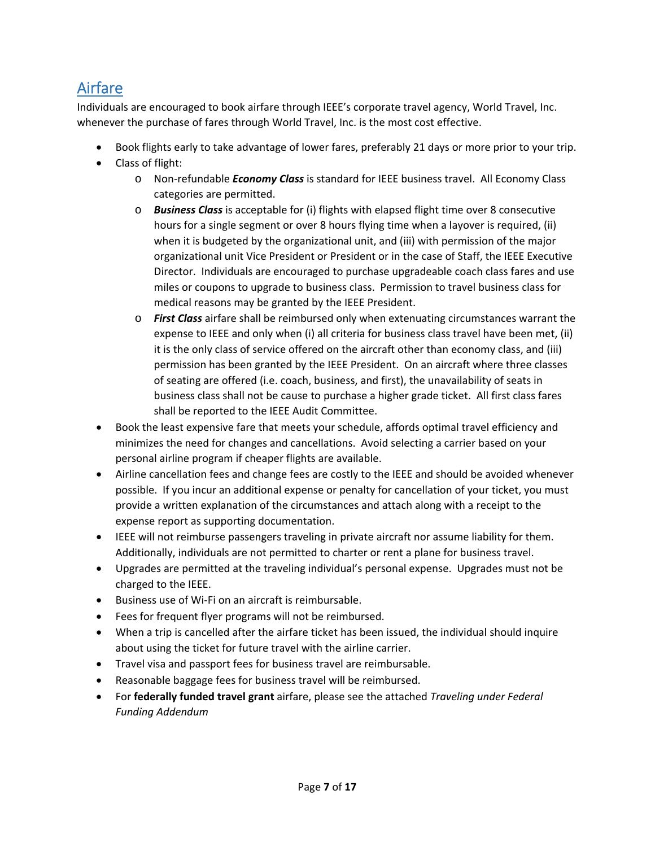# Airfare

Individuals are encouraged to book airfare through IEEE's corporate travel agency, World Travel, Inc. whenever the purchase of fares through World Travel, Inc. is the most cost effective.

- Book flights early to take advantage of lower fares, preferably 21 days or more prior to your trip.
- Class of flight:
	- o Non‐refundable *Economy Class* is standard for IEEE business travel. All Economy Class categories are permitted.
	- o *Business Class* is acceptable for (i) flights with elapsed flight time over 8 consecutive hours for a single segment or over 8 hours flying time when a layover is required, (ii) when it is budgeted by the organizational unit, and (iii) with permission of the major organizational unit Vice President or President or in the case of Staff, the IEEE Executive Director. Individuals are encouraged to purchase upgradeable coach class fares and use miles or coupons to upgrade to business class. Permission to travel business class for medical reasons may be granted by the IEEE President.
	- o *First Class* airfare shall be reimbursed only when extenuating circumstances warrant the expense to IEEE and only when (i) all criteria for business class travel have been met, (ii) it is the only class of service offered on the aircraft other than economy class, and (iii) permission has been granted by the IEEE President. On an aircraft where three classes of seating are offered (i.e. coach, business, and first), the unavailability of seats in business class shall not be cause to purchase a higher grade ticket. All first class fares shall be reported to the IEEE Audit Committee.
- Book the least expensive fare that meets your schedule, affords optimal travel efficiency and minimizes the need for changes and cancellations. Avoid selecting a carrier based on your personal airline program if cheaper flights are available.
- Airline cancellation fees and change fees are costly to the IEEE and should be avoided whenever possible. If you incur an additional expense or penalty for cancellation of your ticket, you must provide a written explanation of the circumstances and attach along with a receipt to the expense report as supporting documentation.
- IEEE will not reimburse passengers traveling in private aircraft nor assume liability for them. Additionally, individuals are not permitted to charter or rent a plane for business travel.
- Upgrades are permitted at the traveling individual's personal expense. Upgrades must not be charged to the IEEE.
- Business use of Wi-Fi on an aircraft is reimbursable.
- Fees for frequent flyer programs will not be reimbursed.
- When a trip is cancelled after the airfare ticket has been issued, the individual should inquire about using the ticket for future travel with the airline carrier.
- Travel visa and passport fees for business travel are reimbursable.
- Reasonable baggage fees for business travel will be reimbursed.
- For **federally funded travel grant** airfare, please see the attached *Traveling under Federal Funding Addendum*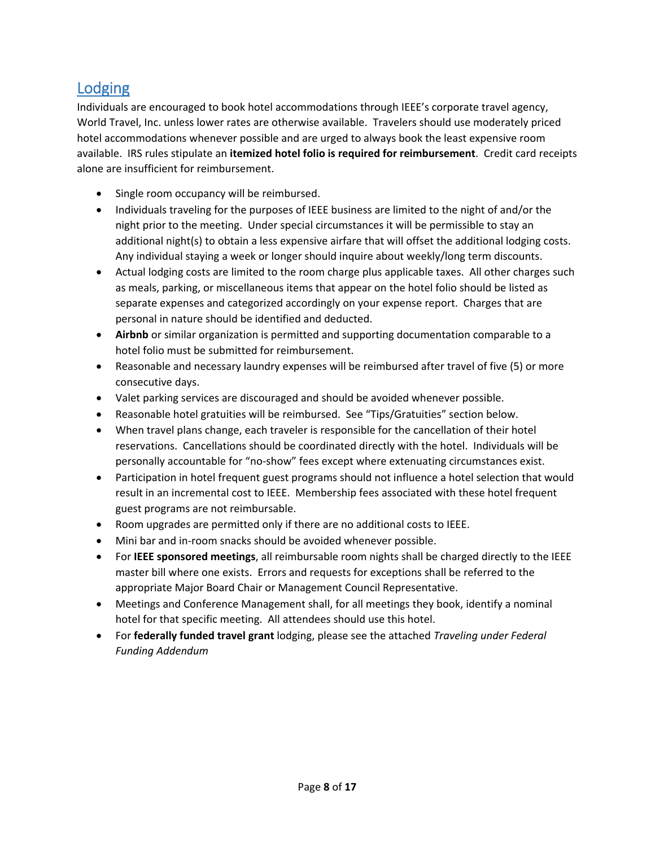# Lodging

Individuals are encouraged to book hotel accommodations through IEEE's corporate travel agency, World Travel, Inc. unless lower rates are otherwise available. Travelers should use moderately priced hotel accommodations whenever possible and are urged to always book the least expensive room available. IRS rules stipulate an **itemized hotel folio is required for reimbursement**. Credit card receipts alone are insufficient for reimbursement.

- Single room occupancy will be reimbursed.
- Individuals traveling for the purposes of IEEE business are limited to the night of and/or the night prior to the meeting. Under special circumstances it will be permissible to stay an additional night(s) to obtain a less expensive airfare that will offset the additional lodging costs. Any individual staying a week or longer should inquire about weekly/long term discounts.
- Actual lodging costs are limited to the room charge plus applicable taxes. All other charges such as meals, parking, or miscellaneous items that appear on the hotel folio should be listed as separate expenses and categorized accordingly on your expense report. Charges that are personal in nature should be identified and deducted.
- **Airbnb** or similar organization is permitted and supporting documentation comparable to a hotel folio must be submitted for reimbursement.
- Reasonable and necessary laundry expenses will be reimbursed after travel of five (5) or more consecutive days.
- Valet parking services are discouraged and should be avoided whenever possible.
- Reasonable hotel gratuities will be reimbursed. See "Tips/Gratuities" section below.
- When travel plans change, each traveler is responsible for the cancellation of their hotel reservations. Cancellations should be coordinated directly with the hotel. Individuals will be personally accountable for "no‐show" fees except where extenuating circumstances exist.
- Participation in hotel frequent guest programs should not influence a hotel selection that would result in an incremental cost to IEEE. Membership fees associated with these hotel frequent guest programs are not reimbursable.
- Room upgrades are permitted only if there are no additional costs to IEEE.
- Mini bar and in-room snacks should be avoided whenever possible.
- For **IEEE sponsored meetings**, all reimbursable room nights shall be charged directly to the IEEE master bill where one exists. Errors and requests for exceptions shall be referred to the appropriate Major Board Chair or Management Council Representative.
- Meetings and Conference Management shall, for all meetings they book, identify a nominal hotel for that specific meeting. All attendees should use this hotel.
- For **federally funded travel grant** lodging, please see the attached *Traveling under Federal Funding Addendum*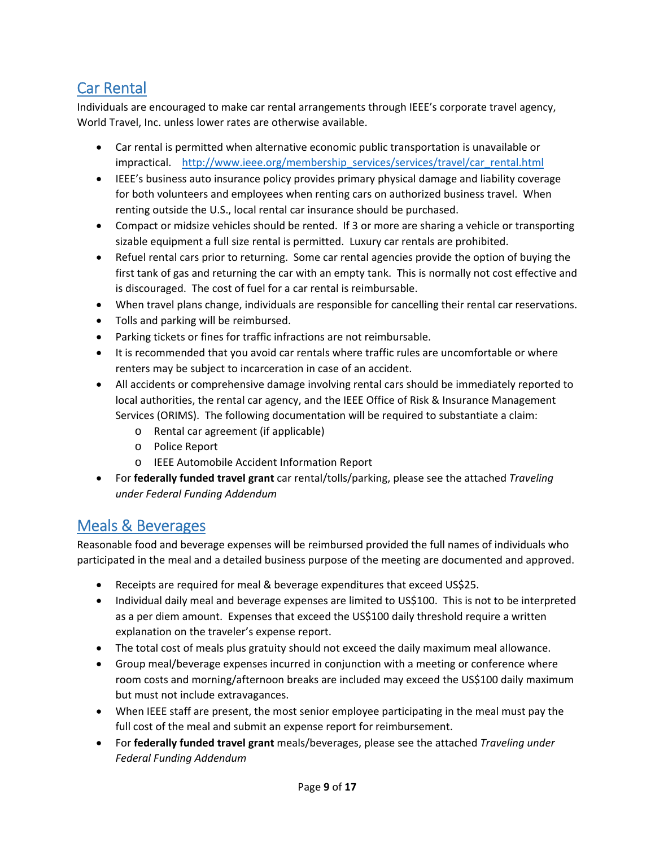# Car Rental

Individuals are encouraged to make car rental arrangements through IEEE's corporate travel agency, World Travel, Inc. unless lower rates are otherwise available.

- Car rental is permitted when alternative economic public transportation is unavailable or impractical. http://www.ieee.org/membership\_services/services/travel/car\_rental.html
- IEEE's business auto insurance policy provides primary physical damage and liability coverage for both volunteers and employees when renting cars on authorized business travel. When renting outside the U.S., local rental car insurance should be purchased.
- Compact or midsize vehicles should be rented. If 3 or more are sharing a vehicle or transporting sizable equipment a full size rental is permitted. Luxury car rentals are prohibited.
- Refuel rental cars prior to returning. Some car rental agencies provide the option of buying the first tank of gas and returning the car with an empty tank. This is normally not cost effective and is discouraged. The cost of fuel for a car rental is reimbursable.
- When travel plans change, individuals are responsible for cancelling their rental car reservations.
- Tolls and parking will be reimbursed.
- Parking tickets or fines for traffic infractions are not reimbursable.
- It is recommended that you avoid car rentals where traffic rules are uncomfortable or where renters may be subject to incarceration in case of an accident.
- All accidents or comprehensive damage involving rental cars should be immediately reported to local authorities, the rental car agency, and the IEEE Office of Risk & Insurance Management Services (ORIMS). The following documentation will be required to substantiate a claim:
	- o Rental car agreement (if applicable)
	- o Police Report
	- o IEEE Automobile Accident Information Report
- For **federally funded travel grant** car rental/tolls/parking, please see the attached *Traveling under Federal Funding Addendum*

### Meals & Beverages

Reasonable food and beverage expenses will be reimbursed provided the full names of individuals who participated in the meal and a detailed business purpose of the meeting are documented and approved.

- Receipts are required for meal & beverage expenditures that exceed US\$25.
- Individual daily meal and beverage expenses are limited to US\$100. This is not to be interpreted as a per diem amount. Expenses that exceed the US\$100 daily threshold require a written explanation on the traveler's expense report.
- The total cost of meals plus gratuity should not exceed the daily maximum meal allowance.
- Group meal/beverage expenses incurred in conjunction with a meeting or conference where room costs and morning/afternoon breaks are included may exceed the US\$100 daily maximum but must not include extravagances.
- When IEEE staff are present, the most senior employee participating in the meal must pay the full cost of the meal and submit an expense report for reimbursement.
- For **federally funded travel grant** meals/beverages, please see the attached *Traveling under Federal Funding Addendum*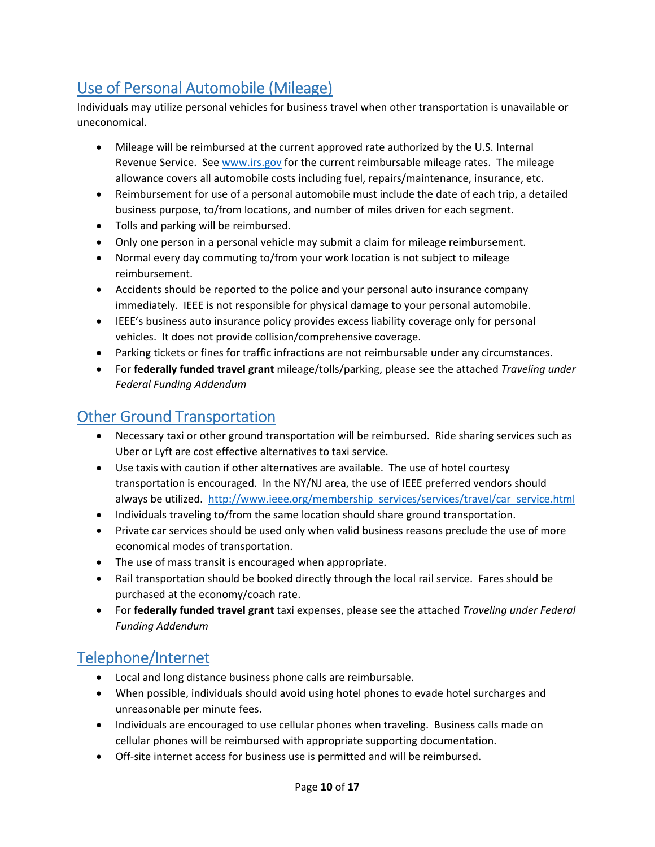# Use of Personal Automobile (Mileage)

Individuals may utilize personal vehicles for business travel when other transportation is unavailable or uneconomical.

- Mileage will be reimbursed at the current approved rate authorized by the U.S. Internal Revenue Service. See www.irs.gov for the current reimbursable mileage rates. The mileage allowance covers all automobile costs including fuel, repairs/maintenance, insurance, etc.
- Reimbursement for use of a personal automobile must include the date of each trip, a detailed business purpose, to/from locations, and number of miles driven for each segment.
- Tolls and parking will be reimbursed.
- Only one person in a personal vehicle may submit a claim for mileage reimbursement.
- Normal every day commuting to/from your work location is not subject to mileage reimbursement.
- Accidents should be reported to the police and your personal auto insurance company immediately. IEEE is not responsible for physical damage to your personal automobile.
- IEEE's business auto insurance policy provides excess liability coverage only for personal vehicles. It does not provide collision/comprehensive coverage.
- Parking tickets or fines for traffic infractions are not reimbursable under any circumstances.
- For **federally funded travel grant** mileage/tolls/parking, please see the attached *Traveling under Federal Funding Addendum*

# Other Ground Transportation

- Necessary taxi or other ground transportation will be reimbursed. Ride sharing services such as Uber or Lyft are cost effective alternatives to taxi service.
- Use taxis with caution if other alternatives are available. The use of hotel courtesy transportation is encouraged. In the NY/NJ area, the use of IEEE preferred vendors should always be utilized. http://www.ieee.org/membership\_services/services/travel/car\_service.html
- Individuals traveling to/from the same location should share ground transportation.
- Private car services should be used only when valid business reasons preclude the use of more economical modes of transportation.
- The use of mass transit is encouraged when appropriate.
- Rail transportation should be booked directly through the local rail service. Fares should be purchased at the economy/coach rate.
- For **federally funded travel grant** taxi expenses, please see the attached *Traveling under Federal Funding Addendum*

# Telephone/Internet

- Local and long distance business phone calls are reimbursable.
- When possible, individuals should avoid using hotel phones to evade hotel surcharges and unreasonable per minute fees.
- Individuals are encouraged to use cellular phones when traveling. Business calls made on cellular phones will be reimbursed with appropriate supporting documentation.
- Off-site internet access for business use is permitted and will be reimbursed.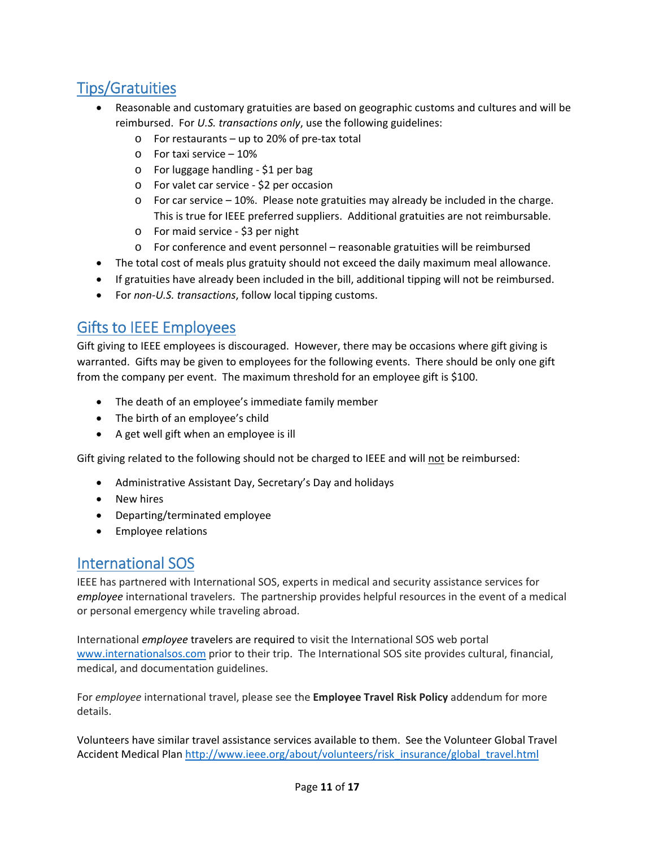# Tips/Gratuities

- Reasonable and customary gratuities are based on geographic customs and cultures and will be reimbursed. For *U.S. transactions only*, use the following guidelines:
	- o For restaurants up to 20% of pre‐tax total
	- o For taxi service 10%
	- o For luggage handling ‐ \$1 per bag
	- o For valet car service ‐ \$2 per occasion
	- $\circ$  For car service 10%. Please note gratuities may already be included in the charge. This is true for IEEE preferred suppliers. Additional gratuities are not reimbursable.
	- o For maid service ‐ \$3 per night
	- o For conference and event personnel reasonable gratuities will be reimbursed
- The total cost of meals plus gratuity should not exceed the daily maximum meal allowance.
- If gratuities have already been included in the bill, additional tipping will not be reimbursed.
- For *non‐U.S. transactions*, follow local tipping customs.

### Gifts to IEEE Employees

Gift giving to IEEE employees is discouraged. However, there may be occasions where gift giving is warranted. Gifts may be given to employees for the following events. There should be only one gift from the company per event. The maximum threshold for an employee gift is \$100.

- The death of an employee's immediate family member
- The birth of an employee's child
- A get well gift when an employee is ill

Gift giving related to the following should not be charged to IEEE and will not be reimbursed:

- Administrative Assistant Day, Secretary's Day and holidays
- New hires
- Departing/terminated employee
- **•** Employee relations

#### International SOS

IEEE has partnered with International SOS, experts in medical and security assistance services for *employee* international travelers. The partnership provides helpful resources in the event of a medical or personal emergency while traveling abroad.

International *employee* travelers are required to visit the International SOS web portal www.internationalsos.com prior to their trip. The International SOS site provides cultural, financial, medical, and documentation guidelines.

For *employee* international travel, please see the **Employee Travel Risk Policy** addendum for more details.

Volunteers have similar travel assistance services available to them. See the Volunteer Global Travel Accident Medical Plan http://www.ieee.org/about/volunteers/risk\_insurance/global\_travel.html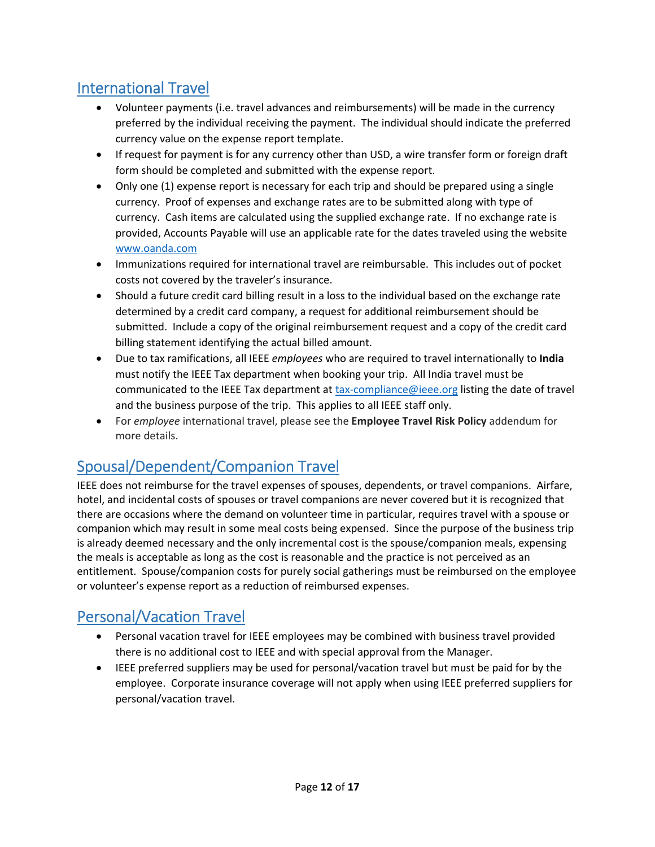# International Travel

- Volunteer payments (i.e. travel advances and reimbursements) will be made in the currency preferred by the individual receiving the payment. The individual should indicate the preferred currency value on the expense report template.
- If request for payment is for any currency other than USD, a wire transfer form or foreign draft form should be completed and submitted with the expense report.
- Only one (1) expense report is necessary for each trip and should be prepared using a single currency. Proof of expenses and exchange rates are to be submitted along with type of currency. Cash items are calculated using the supplied exchange rate. If no exchange rate is provided, Accounts Payable will use an applicable rate for the dates traveled using the website www.oanda.com
- Immunizations required for international travel are reimbursable. This includes out of pocket costs not covered by the traveler's insurance.
- Should a future credit card billing result in a loss to the individual based on the exchange rate determined by a credit card company, a request for additional reimbursement should be submitted. Include a copy of the original reimbursement request and a copy of the credit card billing statement identifying the actual billed amount.
- Due to tax ramifications, all IEEE *employees* who are required to travel internationally to **India** must notify the IEEE Tax department when booking your trip. All India travel must be communicated to the IEEE Tax department at tax-compliance@ieee.org listing the date of travel and the business purpose of the trip. This applies to all IEEE staff only.
- For *employee* international travel, please see the **Employee Travel Risk Policy** addendum for more details.

# Spousal/Dependent/Companion Travel

IEEE does not reimburse for the travel expenses of spouses, dependents, or travel companions. Airfare, hotel, and incidental costs of spouses or travel companions are never covered but it is recognized that there are occasions where the demand on volunteer time in particular, requires travel with a spouse or companion which may result in some meal costs being expensed. Since the purpose of the business trip is already deemed necessary and the only incremental cost is the spouse/companion meals, expensing the meals is acceptable as long as the cost is reasonable and the practice is not perceived as an entitlement. Spouse/companion costs for purely social gatherings must be reimbursed on the employee or volunteer's expense report as a reduction of reimbursed expenses.

# Personal/Vacation Travel

- Personal vacation travel for IEEE employees may be combined with business travel provided there is no additional cost to IEEE and with special approval from the Manager.
- IEEE preferred suppliers may be used for personal/vacation travel but must be paid for by the employee. Corporate insurance coverage will not apply when using IEEE preferred suppliers for personal/vacation travel.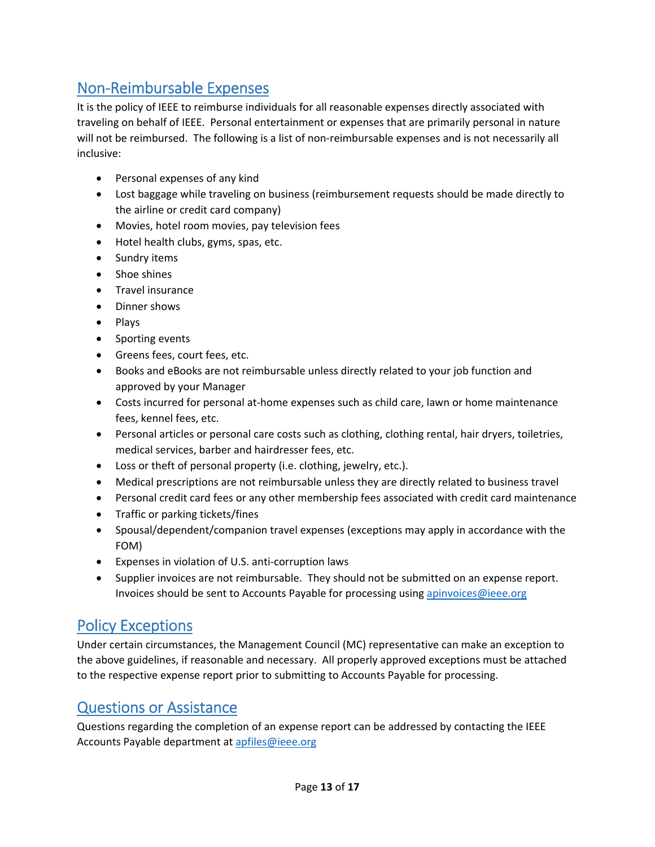# Non‐Reimbursable Expenses

It is the policy of IEEE to reimburse individuals for all reasonable expenses directly associated with traveling on behalf of IEEE. Personal entertainment or expenses that are primarily personal in nature will not be reimbursed. The following is a list of non-reimbursable expenses and is not necessarily all inclusive:

- Personal expenses of any kind
- Lost baggage while traveling on business (reimbursement requests should be made directly to the airline or credit card company)
- Movies, hotel room movies, pay television fees
- Hotel health clubs, gyms, spas, etc.
- Sundry items
- Shoe shines
- Travel insurance
- Dinner shows
- Plays
- Sporting events
- Greens fees, court fees, etc.
- Books and eBooks are not reimbursable unless directly related to your job function and approved by your Manager
- Costs incurred for personal at-home expenses such as child care, lawn or home maintenance fees, kennel fees, etc.
- Personal articles or personal care costs such as clothing, clothing rental, hair dryers, toiletries, medical services, barber and hairdresser fees, etc.
- Loss or theft of personal property (i.e. clothing, jewelry, etc.).
- Medical prescriptions are not reimbursable unless they are directly related to business travel
- Personal credit card fees or any other membership fees associated with credit card maintenance
- Traffic or parking tickets/fines
- Spousal/dependent/companion travel expenses (exceptions may apply in accordance with the FOM)
- Expenses in violation of U.S. anti-corruption laws
- Supplier invoices are not reimbursable. They should not be submitted on an expense report. Invoices should be sent to Accounts Payable for processing using apinvoices@ieee.org

### Policy Exceptions

Under certain circumstances, the Management Council (MC) representative can make an exception to the above guidelines, if reasonable and necessary. All properly approved exceptions must be attached to the respective expense report prior to submitting to Accounts Payable for processing.

#### Questions or Assistance

Questions regarding the completion of an expense report can be addressed by contacting the IEEE Accounts Payable department at apfiles@ieee.org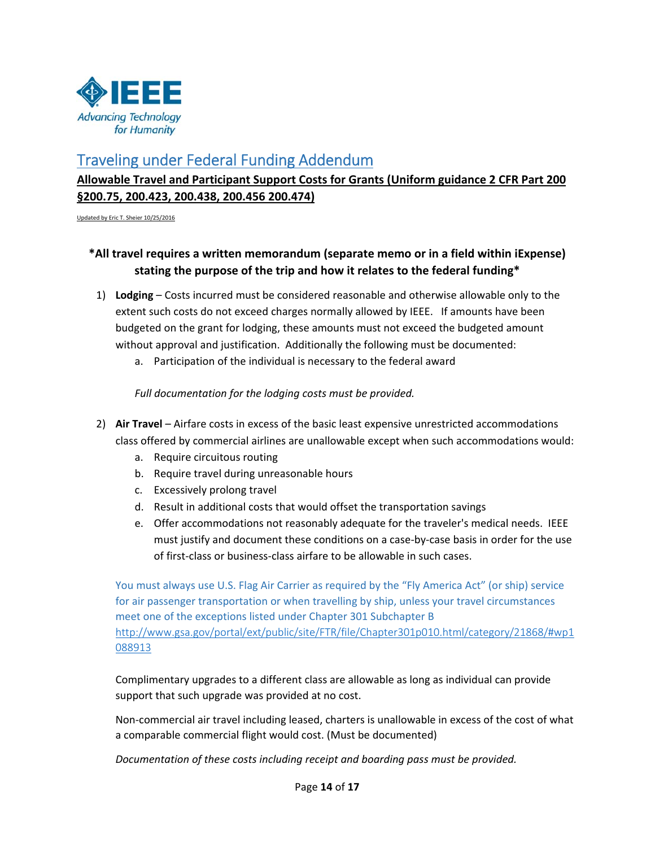

#### Traveling under Federal Funding Addendum

#### **Allowable Travel and Participant Support Costs for Grants (Uniform guidance 2 CFR Part 200 §200.75, 200.423, 200.438, 200.456 200.474)**

Updated by Eric T. Sheier 10/25/2016

#### **\*All travel requires a written memorandum (separate memo or in a field within iExpense) stating the purpose of the trip and how it relates to the federal funding\***

- 1) **Lodging** Costs incurred must be considered reasonable and otherwise allowable only to the extent such costs do not exceed charges normally allowed by IEEE. If amounts have been budgeted on the grant for lodging, these amounts must not exceed the budgeted amount without approval and justification. Additionally the following must be documented:
	- a. Participation of the individual is necessary to the federal award

*Full documentation for the lodging costs must be provided.* 

- 2) **Air Travel** Airfare costs in excess of the basic least expensive unrestricted accommodations class offered by commercial airlines are unallowable except when such accommodations would:
	- a. Require circuitous routing
	- b. Require travel during unreasonable hours
	- c. Excessively prolong travel
	- d. Result in additional costs that would offset the transportation savings
	- e. Offer accommodations not reasonably adequate for the traveler's medical needs. IEEE must justify and document these conditions on a case‐by‐case basis in order for the use of first‐class or business‐class airfare to be allowable in such cases.

You must always use U.S. Flag Air Carrier as required by the "Fly America Act" (or ship) service for air passenger transportation or when travelling by ship, unless your travel circumstances meet one of the exceptions listed under Chapter 301 Subchapter B http://www.gsa.gov/portal/ext/public/site/FTR/file/Chapter301p010.html/category/21868/#wp1 088913

Complimentary upgrades to a different class are allowable as long as individual can provide support that such upgrade was provided at no cost.

Non‐commercial air travel including leased, charters is unallowable in excess of the cost of what a comparable commercial flight would cost. (Must be documented)

*Documentation of these costs including receipt and boarding pass must be provided.*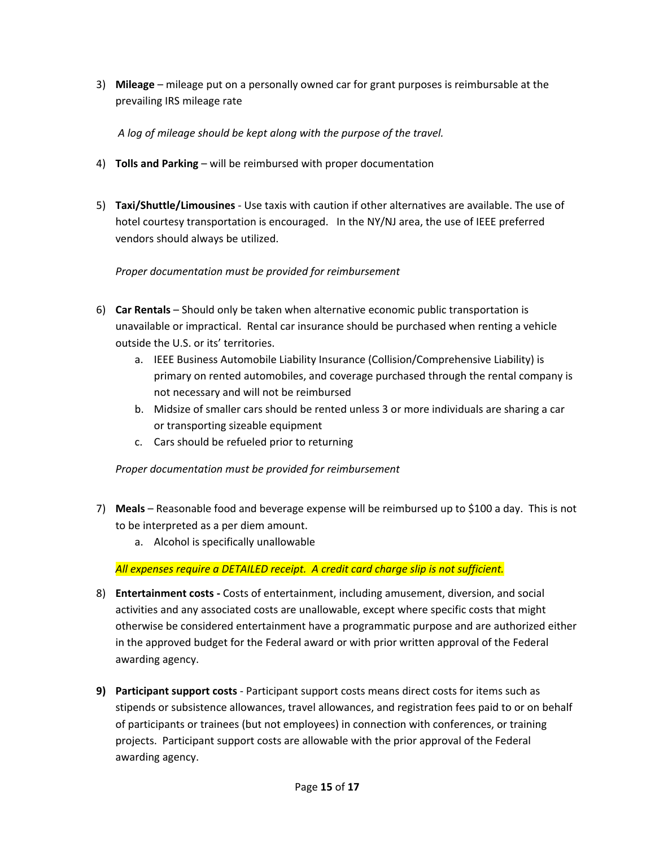3) **Mileage** – mileage put on a personally owned car for grant purposes is reimbursable at the prevailing IRS mileage rate

*A log of mileage should be kept along with the purpose of the travel.* 

- 4) **Tolls and Parking** will be reimbursed with proper documentation
- 5) **Taxi/Shuttle/Limousines** ‐ Use taxis with caution if other alternatives are available. The use of hotel courtesy transportation is encouraged. In the NY/NJ area, the use of IEEE preferred vendors should always be utilized.

#### *Proper documentation must be provided for reimbursement*

- 6) **Car Rentals** Should only be taken when alternative economic public transportation is unavailable or impractical. Rental car insurance should be purchased when renting a vehicle outside the U.S. or its' territories.
	- a. IEEE Business Automobile Liability Insurance (Collision/Comprehensive Liability) is primary on rented automobiles, and coverage purchased through the rental company is not necessary and will not be reimbursed
	- b. Midsize of smaller cars should be rented unless 3 or more individuals are sharing a car or transporting sizeable equipment
	- c. Cars should be refueled prior to returning

*Proper documentation must be provided for reimbursement*

- 7) **Meals** Reasonable food and beverage expense will be reimbursed up to \$100 a day. This is not to be interpreted as a per diem amount.
	- a. Alcohol is specifically unallowable

*All expenses require a DETAILED receipt. A credit card charge slip is not sufficient.* 

- 8) **Entertainment costs ‐** Costs of entertainment, including amusement, diversion, and social activities and any associated costs are unallowable, except where specific costs that might otherwise be considered entertainment have a programmatic purpose and are authorized either in the approved budget for the Federal award or with prior written approval of the Federal awarding agency.
- **9) Participant support costs** ‐ Participant support costs means direct costs for items such as stipends or subsistence allowances, travel allowances, and registration fees paid to or on behalf of participants or trainees (but not employees) in connection with conferences, or training projects. Participant support costs are allowable with the prior approval of the Federal awarding agency.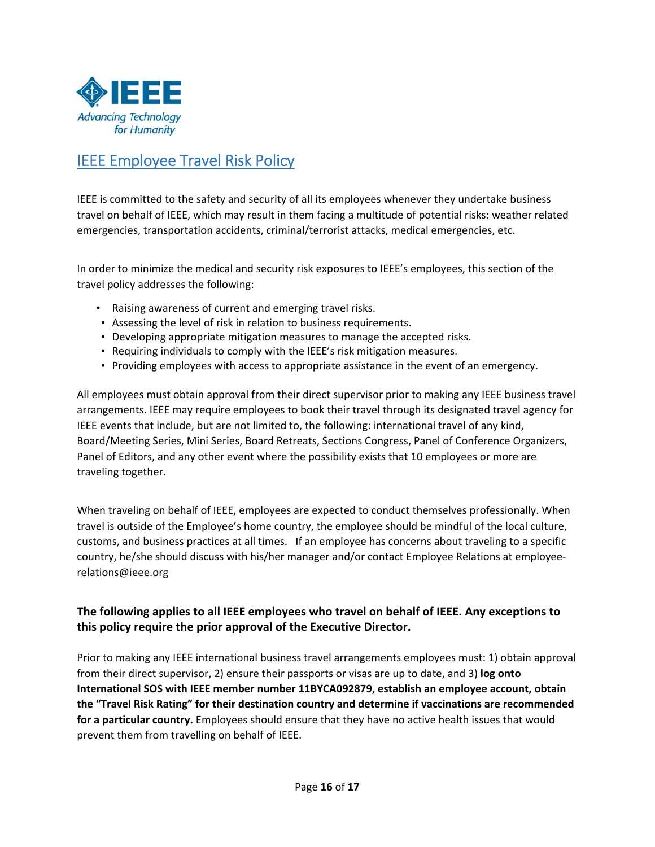

### IEEE Employee Travel Risk Policy

IEEE is committed to the safety and security of all its employees whenever they undertake business travel on behalf of IEEE, which may result in them facing a multitude of potential risks: weather related emergencies, transportation accidents, criminal/terrorist attacks, medical emergencies, etc.

In order to minimize the medical and security risk exposures to IEEE's employees, this section of the travel policy addresses the following:

- Raising awareness of current and emerging travel risks.
- Assessing the level of risk in relation to business requirements.
- Developing appropriate mitigation measures to manage the accepted risks.
- Requiring individuals to comply with the IEEE's risk mitigation measures.
- Providing employees with access to appropriate assistance in the event of an emergency.

All employees must obtain approval from their direct supervisor prior to making any IEEE business travel arrangements. IEEE may require employees to book their travel through its designated travel agency for IEEE events that include, but are not limited to, the following: international travel of any kind, Board/Meeting Series, Mini Series, Board Retreats, Sections Congress, Panel of Conference Organizers, Panel of Editors, and any other event where the possibility exists that 10 employees or more are traveling together.

When traveling on behalf of IEEE, employees are expected to conduct themselves professionally. When travel is outside of the Employee's home country, the employee should be mindful of the local culture, customs, and business practices at all times. If an employee has concerns about traveling to a specific country, he/she should discuss with his/her manager and/or contact Employee Relations at employee‐ relations@ieee.org

#### **The following applies to all IEEE employees who travel on behalf of IEEE. Any exceptions to this policy require the prior approval of the Executive Director.**

Prior to making any IEEE international business travel arrangements employees must: 1) obtain approval from their direct supervisor, 2) ensure their passports or visas are up to date, and 3) **log onto International SOS with IEEE member number 11BYCA092879, establish an employee account, obtain the "Travel Risk Rating" for their destination country and determine if vaccinations are recommended for a particular country.** Employees should ensure that they have no active health issues that would prevent them from travelling on behalf of IEEE.